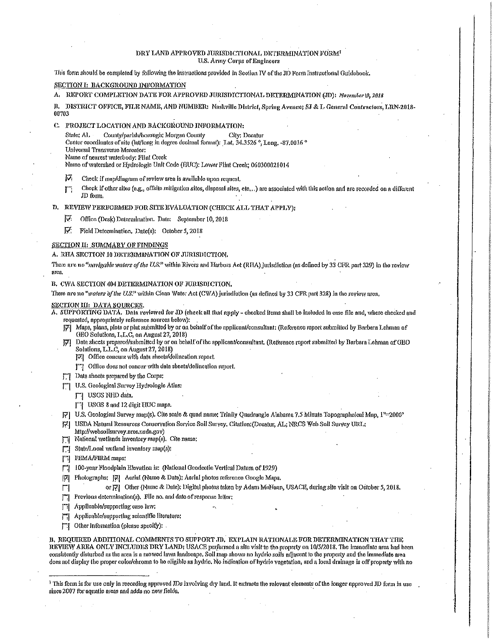### DRY LAND APPROVED JURISDICTIONAL DETERMINATION FORM<sup>1</sup> **U.S. Army Corps of Engineers**

This form should be completed by following the instructions provided in Section IV of the JD Form Instructional Guidebook.

# SECTION I: BACKGROUND INFORMATION

A. REPORT COMPLETION DATE FOR APPROVED JURISDICTIONAL DETERMINATION (JD): November 19, 2018

B. DISTRICT OFFICE, FILE NAME, AND NUMBER: Nashville District, Spring Avenue; SJ & L General Contractors, LRN-2018-00703

C. PROJECT LOCATION AND BACKGROUND INFORMATION:

County/parish/borough: Morgan County State: AL City: Decatur

Center coordinates of site (lat/long in degree decimal format): Lat. 34.3526 °, Long. ~87.0016 °

Universal Transverse Mercator:

Name of nearest waterbody: Plint Creek Name of watershed or Hydrologic Unit Code (HUC): Lower Flint Creek: 060300021014

迈 Check if map/diagram of review area is available upon request.

Check if other sites (e.g., offsite mitigation sites, disposal sites, etc.,.) are associated with this action and are recorded on a different 厅 JD form.

D. REVIEW PERFORMED FOR SITE EVALUATION (CHECK ALL THAT APPLY):

厚 Office (Desk) Determination. Date: September 10, 2018

砭 Field Determination, Date(s): October 5, 2018

# SECTION II: SUMIMARY OF FINDINGS

#### A. RHA SECTION 10 DETERMINATION OF JURISDICTION.

There are no "navigable waters of the U.S." within Rivers and Harbors Act (RHA) lurisdiction (as defined by 33 CFR part 329) in the review area

B. CWA SECTION 404 DETERMINATION OF JURISDICTION.

There are no "waters of the U.S." within Clean Water Act (CWA) jurisdiction (as defined by 33 CFR part 328) in the roview area.

#### SECTION III: DATA SOURCES.

A. SUPPORTING DATA, Data reviewed for JD (check all that apply - checked items shall be included in case file and, where checked and requested, appropriately reference sources below):

- [7] Maps, plans, plots or plat submitted by or on behalf of the applicant/consultant; (Reference report submitted by Barbara Lehman of GEO Solutions, L.L.C. on August 27, 2018)
- Data sheets prepared/submitted by or on behalf of the applicant/consultant. (Reference report submitted by Barbara Lehman of GEO 冈 Solutions, L.L.C. on August 27, 2018)
	- [7] Office concurs with data sheets/delineation report.
	- | Office does not concur with data sheets/delineation report.
- [7] Data shoets prepared by the Corps:
- [74] U.S. Geological Survey Hydrologic Atlas:

[7] USGS NHD data.

[7] USGS 8 and 12 digit HUC maps.

[7] U.S. Geological Survey map(s), Cite scale & quad name; Trinity Quadrangle Alabama 7,5 Minute Topographeical Map, 1"=2000"

[7] USDA Natural Resources Conservation Service Soil Survey, Citation: (Decatur, AL; NRCS Web Soil Survey URL; http://websoilsurvey.uros.usda.gov)

National wetlands inventory map(s). Cite name: П

State/Local wetland inventory map(s); П

 $\Box$ **FEMA/FIRM** maps:

 $|\nabla|$ 

E

- 100-year Floodplain Elevation is: (National Geodectic Vertical Datum of 1929) П
	- Photographs: 7. Aerial (Name & Date); Aerial photos reference Google Maps.
		- or [7] Other (Name & Date): Digital photos taken by Adam MoHann, USACE, during site visit on October 5, 2018,
- Previous determination(s). File no. and date of response letter;

Applicable/supporting case law: m.

Applicable/supporting scientific literature: П

Other Information (please specify): .  $\Box$ 

B. REQUIRED ADDITIONAL COMMENTS TO SUPPORT JD. EXPLAIN RATIONALE FOR DETERMINATION THAT THE REVIEW AREA ONLY INCLUDES DRY LAND; USACE performed a site visit to the property on 10/5/2018. The immediate area had been consistently disturbed as the area is a mowed lawn landscape. Soil map shows no hydric soils adjacent to the property and the immediate area does not display the proper colon chroma to be eligible as hydric. No indication of hydric vegetation, and a local drainage is off property with no

<sup>&</sup>lt;sup>1</sup> This form is for use only in recording approved IDs havolving dry land. It extracts the rolevant elements of the longer approved JD form in use since 2007 for aquatic areas and adds no new fields.